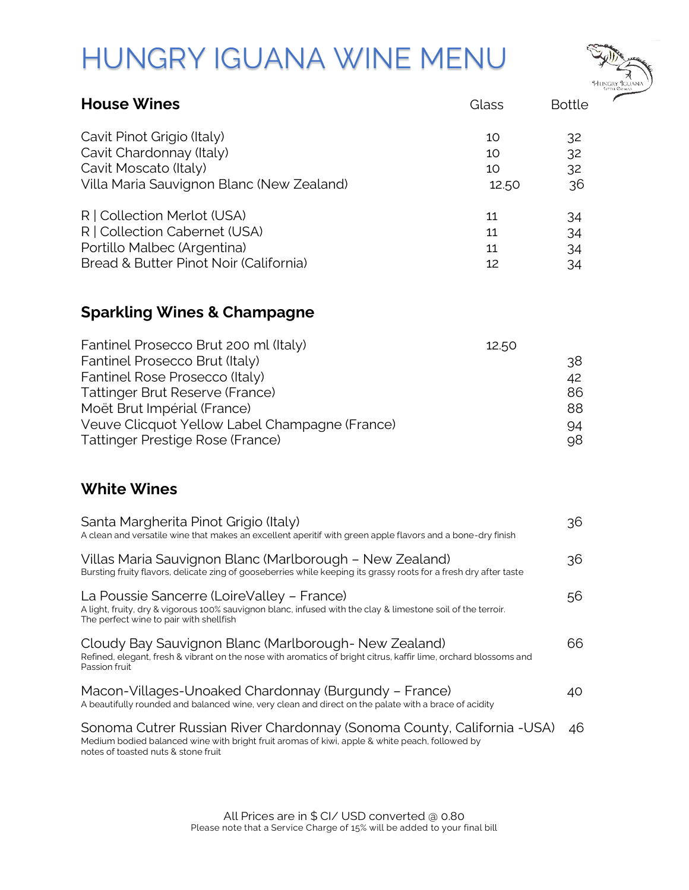## HUNGRY IGUANA WINE MENU



| <b>House Wines</b>                        | Glass | <b>Bottle</b> |
|-------------------------------------------|-------|---------------|
| Cavit Pinot Grigio (Italy)                | 10    | 32            |
| Cavit Chardonnay (Italy)                  | 10    | 32            |
| Cavit Moscato (Italy)                     | 10    | 32            |
| Villa Maria Sauvignon Blanc (New Zealand) | 12.50 | 36            |
| R   Collection Merlot (USA)               | 11    | 34            |
| R   Collection Cabernet (USA)             | 11    | 34            |
| Portillo Malbec (Argentina)               | 11    | 34            |
| Bread & Butter Pinot Noir (California)    | 12    | 34            |

## **Sparkling Wines & Champagne**

| Fantinel Prosecco Brut 200 ml (Italy)          | 12.50 |
|------------------------------------------------|-------|
| Fantinel Prosecco Brut (Italy)                 | 38    |
| Fantinel Rose Prosecco (Italy)                 | 42    |
| Tattinger Brut Reserve (France)                | 86    |
| Moët Brut Impérial (France)                    | 88    |
| Veuve Clicquot Yellow Label Champagne (France) | 94    |
| Tattinger Prestige Rose (France)               | 98    |

## **White Wines**

| 36 |
|----|
| 36 |
| 56 |
| 66 |
| 40 |
| 46 |
|    |